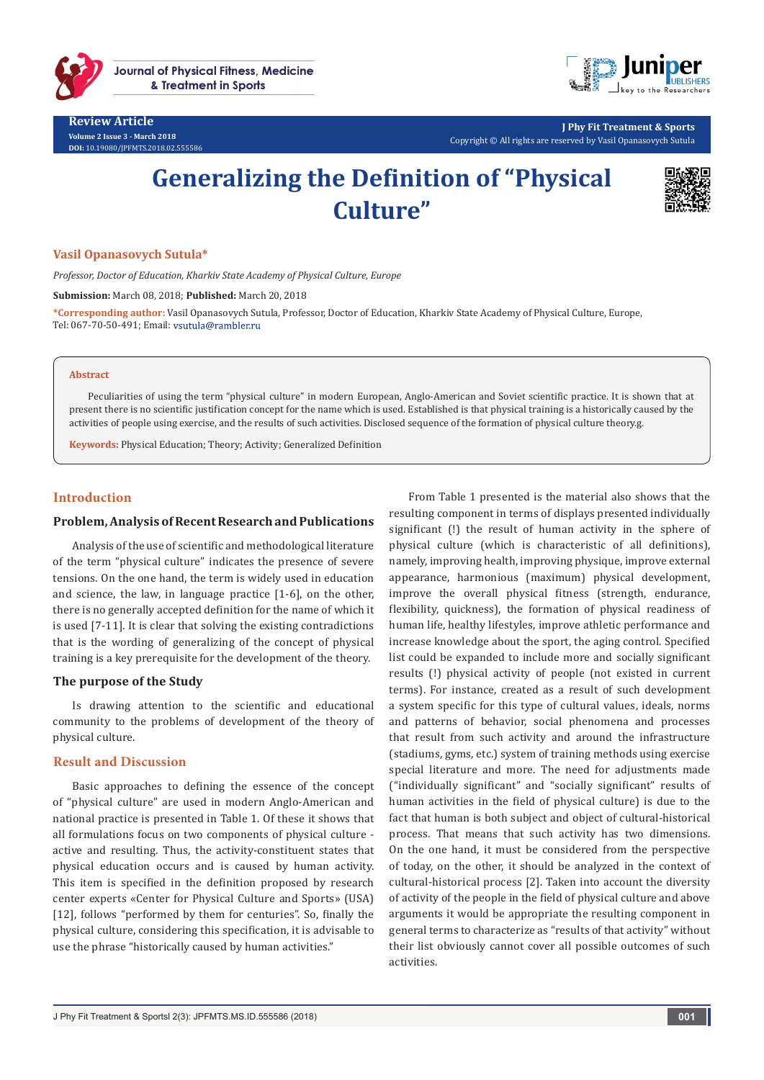

**Review Article Volume 2 Issue 3 - March 2018 DOI:** [10.19080/JPFMTS.2018.02.555586](http://dx.doi.org/10.19080/JPFMTS.2018.02.555586
)



**J Phy Fit Treatment & Sports** Copyright © All rights are reserved by Vasil Opanasovych Sutula

# **Generalizing the Definition of "Physical Culture"**



#### **Vasil Opanasovych Sutula\***

*Professor, Doctor of Education, Kharkiv State Academy of Physical Culture, Europe*

**Submission:** March 08, 2018; **Published:** March 20, 2018

**\*Corresponding author:** Vasil Opanasovych Sutula, Professor, Doctor of Education, Kharkiv State Academy of Physical Culture, Europe, Tel: 067-70-50-491; Email:

#### **Abstract**

Peculiarities of using the term "physical culture" in modern European, Anglo-American and Soviet scientific practice. It is shown that at present there is no scientific justification concept for the name which is used. Established is that physical training is a historically caused by the activities of people using exercise, and the results of such activities. Disclosed sequence of the formation of physical culture theory.g.

**Keywords:** Physical Education; Theory; Activity; Generalized Definition

#### **Introduction**

#### **Problem, Analysis of Recent Research and Publications**

Analysis of the use of scientific and methodological literature of the term "physical culture" indicates the presence of severe tensions. On the one hand, the term is widely used in education and science, the law, in language practice [1-6], on the other, there is no generally accepted definition for the name of which it is used [7-11]. It is clear that solving the existing contradictions that is the wording of generalizing of the concept of physical training is a key prerequisite for the development of the theory.

#### **The purpose of the Study**

Is drawing attention to the scientific and educational community to the problems of development of the theory of physical culture.

#### **Result and Discussion**

Basic approaches to defining the essence of the concept of "physical culture" are used in modern Anglo-American and national practice is presented in Table 1. Of these it shows that all formulations focus on two components of physical culture active and resulting. Thus, the activity-constituent states that physical education occurs and is caused by human activity. This item is specified in the definition proposed by research center experts «Center for Physical Culture and Sports» (USA) [12], follows "performed by them for centuries". So, finally the physical culture, considering this specification, it is advisable to use the phrase "historically caused by human activities."

From Table 1 presented is the material also shows that the resulting component in terms of displays presented individually significant (!) the result of human activity in the sphere of physical culture (which is characteristic of all definitions), namely, improving health, improving physique, improve external appearance, harmonious (maximum) physical development, improve the overall physical fitness (strength, endurance, flexibility, quickness), the formation of physical readiness of human life, healthy lifestyles, improve athletic performance and increase knowledge about the sport, the aging control. Specified list could be expanded to include more and socially significant results (!) physical activity of people (not existed in current terms). For instance, created as a result of such development a system specific for this type of cultural values, ideals, norms and patterns of behavior, social phenomena and processes that result from such activity and around the infrastructure (stadiums, gyms, etc.) system of training methods using exercise special literature and more. The need for adjustments made ("individually significant" and "socially significant" results of human activities in the field of physical culture) is due to the fact that human is both subject and object of cultural-historical process. That means that such activity has two dimensions. On the one hand, it must be considered from the perspective of today, on the other, it should be analyzed in the context of cultural-historical process [2]. Taken into account the diversity of activity of the people in the field of physical culture and above arguments it would be appropriate the resulting component in general terms to characterize as "results of that activity" without their list obviously cannot cover all possible outcomes of such activities.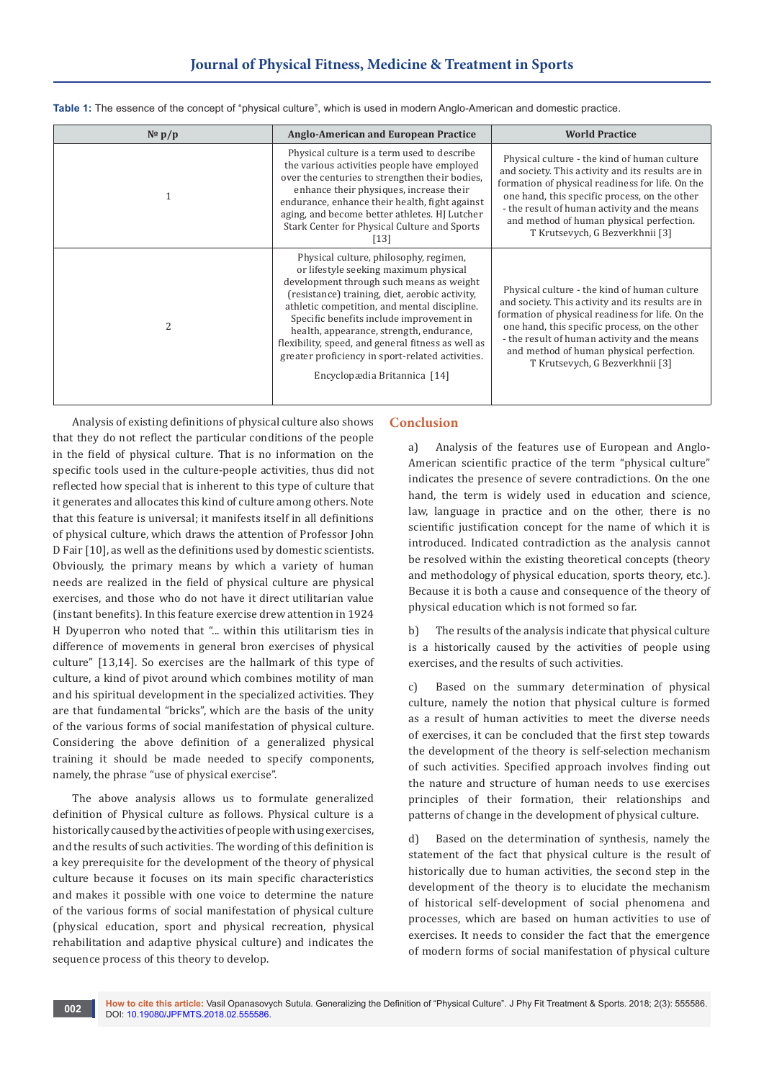| $N^{\circ}$ p/p | <b>Anglo-American and European Practice</b>                                                                                                                                                                                                                                                                                                                                                                                                                     | <b>World Practice</b>                                                                                                                                                                                                                                                                                                                 |
|-----------------|-----------------------------------------------------------------------------------------------------------------------------------------------------------------------------------------------------------------------------------------------------------------------------------------------------------------------------------------------------------------------------------------------------------------------------------------------------------------|---------------------------------------------------------------------------------------------------------------------------------------------------------------------------------------------------------------------------------------------------------------------------------------------------------------------------------------|
|                 | Physical culture is a term used to describe<br>the various activities people have employed<br>over the centuries to strengthen their bodies,<br>enhance their physiques, increase their<br>endurance, enhance their health, fight against<br>aging, and become better athletes. HJ Lutcher<br>Stark Center for Physical Culture and Sports<br>[13]                                                                                                              | Physical culture - the kind of human culture<br>and society. This activity and its results are in<br>formation of physical readiness for life. On the<br>one hand, this specific process, on the other<br>- the result of human activity and the means<br>and method of human physical perfection.<br>T Krutsevych, G Bezverkhnii [3] |
| $\mathcal{L}$   | Physical culture, philosophy, regimen,<br>or lifestyle seeking maximum physical<br>development through such means as weight<br>(resistance) training, diet, aerobic activity,<br>athletic competition, and mental discipline.<br>Specific benefits include improvement in<br>health, appearance, strength, endurance,<br>flexibility, speed, and general fitness as well as<br>greater proficiency in sport-related activities.<br>Encyclopædia Britannica [14] | Physical culture - the kind of human culture<br>and society. This activity and its results are in<br>formation of physical readiness for life. On the<br>one hand, this specific process, on the other<br>- the result of human activity and the means<br>and method of human physical perfection.<br>T Krutsevych, G Bezverkhnii [3] |

**Table 1:** The essence of the concept of "physical culture", which is used in modern Anglo-American and domestic practice.

Analysis of existing definitions of physical culture also shows that they do not reflect the particular conditions of the people in the field of physical culture. That is no information on the specific tools used in the culture-people activities, thus did not reflected how special that is inherent to this type of culture that it generates and allocates this kind of culture among others. Note that this feature is universal; it manifests itself in all definitions of physical culture, which draws the attention of Professor John D Fair [10], as well as the definitions used by domestic scientists. Obviously, the primary means by which a variety of human needs are realized in the field of physical culture are physical exercises, and those who do not have it direct utilitarian value (instant benefits). In this feature exercise drew attention in 1924 H Dyuperron who noted that "... within this utilitarism ties in difference of movements in general bron exercises of physical culture" [13,14]. So exercises are the hallmark of this type of culture, a kind of pivot around which combines motility of man and his spiritual development in the specialized activities. They are that fundamental "bricks", which are the basis of the unity of the various forms of social manifestation of physical culture. Considering the above definition of a generalized physical training it should be made needed to specify components, namely, the phrase "use of physical exercise".

The above analysis allows us to formulate generalized definition of Physical culture as follows. Physical culture is a historically caused by the activities of people with using exercises, and the results of such activities. The wording of this definition is a key prerequisite for the development of the theory of physical culture because it focuses on its main specific characteristics and makes it possible with one voice to determine the nature of the various forms of social manifestation of physical culture (physical education, sport and physical recreation, physical rehabilitation and adaptive physical culture) and indicates the sequence process of this theory to develop.

## **Conclusion**

a) Analysis of the features use of European and Anglo-American scientific practice of the term "physical culture" indicates the presence of severe contradictions. On the one hand, the term is widely used in education and science, law, language in practice and on the other, there is no scientific justification concept for the name of which it is introduced. Indicated contradiction as the analysis cannot be resolved within the existing theoretical concepts (theory and methodology of physical education, sports theory, etc.). Because it is both a cause and consequence of the theory of physical education which is not formed so far.

b) The results of the analysis indicate that physical culture is a historically caused by the activities of people using exercises, and the results of such activities.

c) Based on the summary determination of physical culture, namely the notion that physical culture is formed as a result of human activities to meet the diverse needs of exercises, it can be concluded that the first step towards the development of the theory is self-selection mechanism of such activities. Specified approach involves finding out the nature and structure of human needs to use exercises principles of their formation, their relationships and patterns of change in the development of physical culture.

d) Based on the determination of synthesis, namely the statement of the fact that physical culture is the result of historically due to human activities, the second step in the development of the theory is to elucidate the mechanism of historical self-development of social phenomena and processes, which are based on human activities to use of exercises. It needs to consider the fact that the emergence of modern forms of social manifestation of physical culture